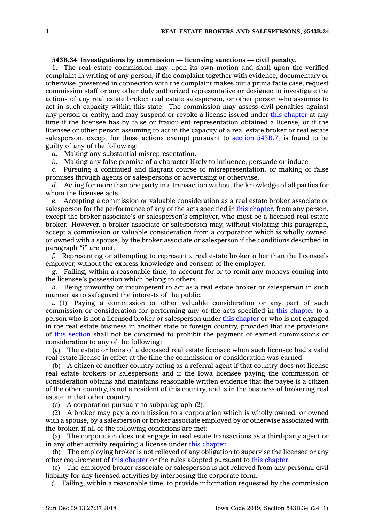## **543B.34 Investigations by commission — licensing sanctions — civil penalty.**

1. The real estate commission may upon its own motion and shall upon the verified complaint in writing of any person, if the complaint together with evidence, documentary or otherwise, presented in connection with the complaint makes out <sup>a</sup> prima facie case, request commission staff or any other duly authorized representative or designee to investigate the actions of any real estate broker, real estate salesperson, or other person who assumes to act in such capacity within this state. The commission may assess civil penalties against any person or entity, and may suspend or revoke <sup>a</sup> license issued under this [chapter](https://www.legis.iowa.gov/docs/code//543B.pdf) at any time if the licensee has by false or fraudulent representation obtained <sup>a</sup> license, or if the licensee or other person assuming to act in the capacity of <sup>a</sup> real estate broker or real estate salesperson, except for those actions exempt pursuant to section [543B.7](https://www.legis.iowa.gov/docs/code/543B.7.pdf), is found to be guilty of any of the following:

*a.* Making any substantial misrepresentation.

*b.* Making any false promise of <sup>a</sup> character likely to influence, persuade or induce.

*c.* Pursuing <sup>a</sup> continued and flagrant course of misrepresentation, or making of false promises through agents or salespersons or advertising or otherwise.

*d.* Acting for more than one party in <sup>a</sup> transaction without the knowledge of all parties for whom the licensee acts.

*e.* Accepting <sup>a</sup> commission or valuable consideration as <sup>a</sup> real estate broker associate or salesperson for the performance of any of the acts specified in this [chapter](https://www.legis.iowa.gov/docs/code//543B.pdf), from any person, except the broker associate's or salesperson's employer, who must be <sup>a</sup> licensed real estate broker. However, <sup>a</sup> broker associate or salesperson may, without violating this paragraph, accept <sup>a</sup> commission or valuable consideration from <sup>a</sup> corporation which is wholly owned, or owned with <sup>a</sup> spouse, by the broker associate or salesperson if the conditions described in paragraph *"i"* are met.

*f.* Representing or attempting to represent <sup>a</sup> real estate broker other than the licensee's employer, without the express knowledge and consent of the employer.

*g.* Failing, within <sup>a</sup> reasonable time, to account for or to remit any moneys coming into the licensee's possession which belong to others.

*h.* Being unworthy or incompetent to act as <sup>a</sup> real estate broker or salesperson in such manner as to safeguard the interests of the public.

*i.* (1) Paying <sup>a</sup> commission or other valuable consideration or any part of such commission or consideration for performing any of the acts specified in this [chapter](https://www.legis.iowa.gov/docs/code//543B.pdf) to <sup>a</sup> person who is not <sup>a</sup> licensed broker or salesperson under this [chapter](https://www.legis.iowa.gov/docs/code//543B.pdf) or who is not engaged in the real estate business in another state or foreign country, provided that the provisions of this [section](https://www.legis.iowa.gov/docs/code/543B.34.pdf) shall not be construed to prohibit the payment of earned commissions or consideration to any of the following:

(a) The estate or heirs of <sup>a</sup> deceased real estate licensee when such licensee had <sup>a</sup> valid real estate license in effect at the time the commission or consideration was earned.

(b) A citizen of another country acting as <sup>a</sup> referral agent if that country does not license real estate brokers or salespersons and if the Iowa licensee paying the commission or consideration obtains and maintains reasonable written evidence that the payee is <sup>a</sup> citizen of the other country, is not <sup>a</sup> resident of this country, and is in the business of brokering real estate in that other country.

(c) A corporation pursuant to subparagraph (2).

(2) A broker may pay <sup>a</sup> commission to <sup>a</sup> corporation which is wholly owned, or owned with <sup>a</sup> spouse, by <sup>a</sup> salesperson or broker associate employed by or otherwise associated with the broker, if all of the following conditions are met:

(a) The corporation does not engage in real estate transactions as <sup>a</sup> third-party agent or in any other activity requiring <sup>a</sup> license under this [chapter](https://www.legis.iowa.gov/docs/code//543B.pdf).

(b) The employing broker is not relieved of any obligation to supervise the licensee or any other requirement of this [chapter](https://www.legis.iowa.gov/docs/code//543B.pdf) or the rules adopted pursuant to this [chapter](https://www.legis.iowa.gov/docs/code//543B.pdf).

(c) The employed broker associate or salesperson is not relieved from any personal civil liability for any licensed activities by interposing the corporate form.

*j.* Failing, within <sup>a</sup> reasonable time, to provide information requested by the commission